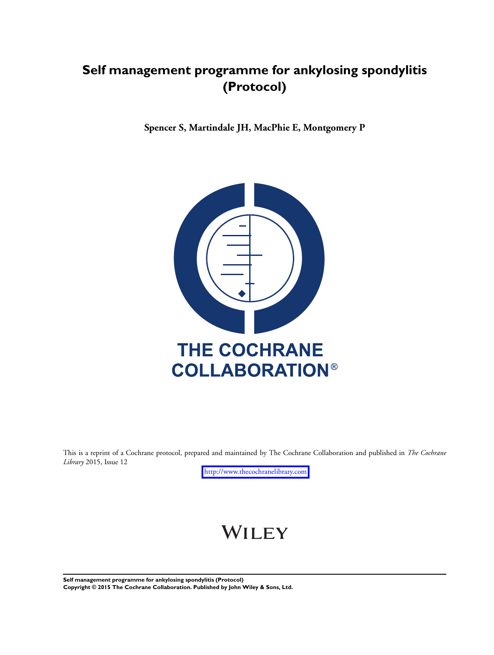## **Self management programme for ankylosing spondylitis (Protocol)**

**Spencer S, Martindale JH, MacPhie E, Montgomery P**



This is a reprint of a Cochrane protocol, prepared and maintained by The Cochrane Collaboration and published in *The Cochrane Library* 2015, Issue 12

<http://www.thecochranelibrary.com>

# WILEY

**Self management programme for ankylosing spondylitis (Protocol) Copyright © 2015 The Cochrane Collaboration. Published by John Wiley & Sons, Ltd.**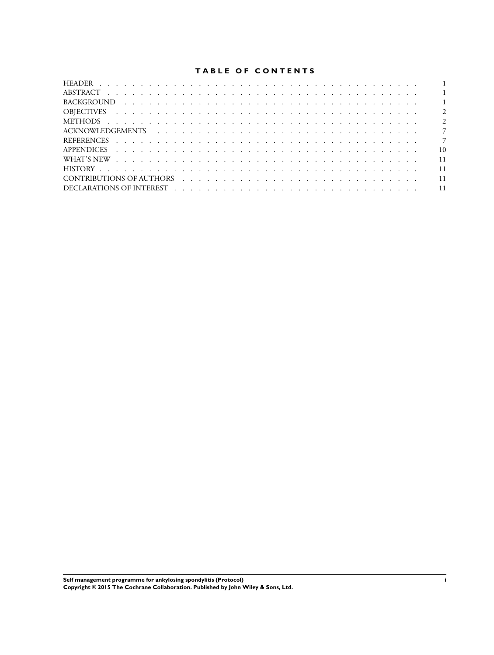## **TABLE OF CONTENTS**

|                                                                                                                                                                                                                                      | $\overline{1}$ |
|--------------------------------------------------------------------------------------------------------------------------------------------------------------------------------------------------------------------------------------|----------------|
| $\overline{\phantom{a}}$                                                                                                                                                                                                             |                |
|                                                                                                                                                                                                                                      | $\overline{2}$ |
|                                                                                                                                                                                                                                      | $\overline{7}$ |
|                                                                                                                                                                                                                                      | $\overline{7}$ |
|                                                                                                                                                                                                                                      | 10             |
| WHAT'S NEW research and the contract of the contract of the contract of the contract of the contract of the contract of the contract of the contract of the contract of the contract of the contract of the contract of the co<br>11 |                |
| 11                                                                                                                                                                                                                                   |                |
| 11<br>CONTRIBUTIONS OF AUTHORS (experience of the contract of the contract of the contract of the contract of the contract of the contract of the contract of the contract of the contract of the contract of the contract of the co |                |
| $-11$                                                                                                                                                                                                                                |                |

**Self management programme for ankylosing spondylitis (Protocol) i Copyright © 2015 The Cochrane Collaboration. Published by John Wiley & Sons, Ltd.**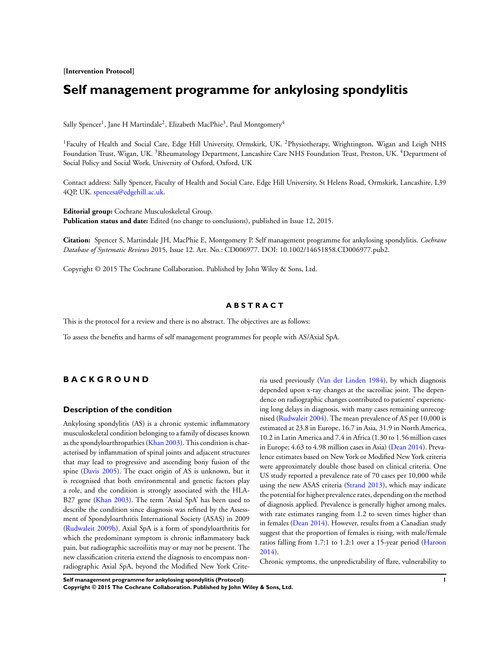**[Intervention Protocol]**

## **Self management programme for ankylosing spondylitis**

Sally Spencer<sup>1</sup>, Jane H Martindale<sup>2</sup>, Elizabeth MacPhie<sup>3</sup>, Paul Montgomery<sup>4</sup>

<sup>1</sup>Faculty of Health and Social Care, Edge Hill University, Ormskirk, UK. <sup>2</sup>Physiotherapy, Wrightington, Wigan and Leigh NHS Foundation Trust, Wigan, UK. <sup>3</sup>Rheumatology Department, Lancashire Care NHS Foundation Trust, Preston, UK. <sup>4</sup>Department of Social Policy and Social Work, University of Oxford, Oxford, UK

Contact address: Sally Spencer, Faculty of Health and Social Care, Edge Hill University, St Helens Road, Ormskirk, Lancashire, L39 4QP, UK. [spencesa@edgehill.ac.uk](mailto:spencesa@edgehill.ac.uk).

**Editorial group:** Cochrane Musculoskeletal Group. **Publication status and date:** Edited (no change to conclusions), published in Issue 12, 2015.

**Citation:** Spencer S, Martindale JH, MacPhie E, Montgomery P. Self management programme for ankylosing spondylitis. *Cochrane Database of Systematic Reviews* 2015, Issue 12. Art. No.: CD006977. DOI: 10.1002/14651858.CD006977.pub2.

Copyright © 2015 The Cochrane Collaboration. Published by John Wiley & Sons, Ltd.

#### **A B S T R A C T**

This is the protocol for a review and there is no abstract. The objectives are as follows:

To assess the benefits and harms of self management programmes for people with AS/Axial SpA.

## **B A C K G R O U N D**

#### **Description of the condition**

Ankylosing spondylitis (AS) is a chronic systemic inflammatory musculoskeletal condition belonging to a family of diseases known as the spondyloarthropathies ([Khan 2003](#page-8-0)). This condition is characterised by inflammation of spinal joints and adjacent structures that may lead to progressive and ascending bony fusion of the spine [\(Davis 2005](#page-8-0)). The exact origin of AS is unknown, but it is recognised that both environmental and genetic factors play a role, and the condition is strongly associated with the HLA-B27 gene [\(Khan 2003\)](#page-8-0). The term 'Axial SpA' has been used to describe the condition since diagnosis was refined by the Assessment of Spondyloarthritis International Society (ASAS) in 2009 [\(Rudwaleit 2009b\)](#page-8-0). Axial SpA is a form of spondyloarthritis for which the predominant symptom is chronic inflammatory back pain, but radiographic sacroiliitis may or may not be present. The new classification criteria extend the diagnosis to encompass nonradiographic Axial SpA, beyond the Modified New York Crite-

ria used previously [\(Van der Linden 1984](#page-8-0)), by which diagnosis depended upon x-ray changes at the sacroiliac joint. The dependence on radiographic changes contributed to patients' experiencing long delays in diagnosis, with many cases remaining unrecognised ([Rudwaleit 2004](#page-8-0)). The mean prevalence of AS per 10,000 is estimated at 23.8 in Europe, 16.7 in Asia, 31.9 in North America, 10.2 in Latin America and 7.4 in Africa (1.30 to 1.56 million cases in Europe; 4.63 to 4.98 million cases in Asia) [\(Dean 2014\)](#page-8-0). Prevalence estimates based on New York or Modified New York criteria were approximately double those based on clinical criteria. One US study reported a prevalence rate of 70 cases per 10,000 while using the new ASAS criteria ([Strand 2013\)](#page-8-0), which may indicate the potential for higher prevalence rates, depending on the method of diagnosis applied. Prevalence is generally higher among males, with rate estimates ranging from 1.2 to seven times higher than in females [\(Dean 2014](#page-8-0)). However, results from a Canadian study suggest that the proportion of females is rising, with male/female ratios falling from 1.7:1 to 1.2:1 over a 15-year period ([Haroon](#page-8-0) [2014](#page-8-0)).

Chronic symptoms, the unpredictability of flare, vulnerability to

**Self management programme for ankylosing spondylitis (Protocol) 1 Copyright © 2015 The Cochrane Collaboration. Published by John Wiley & Sons, Ltd.**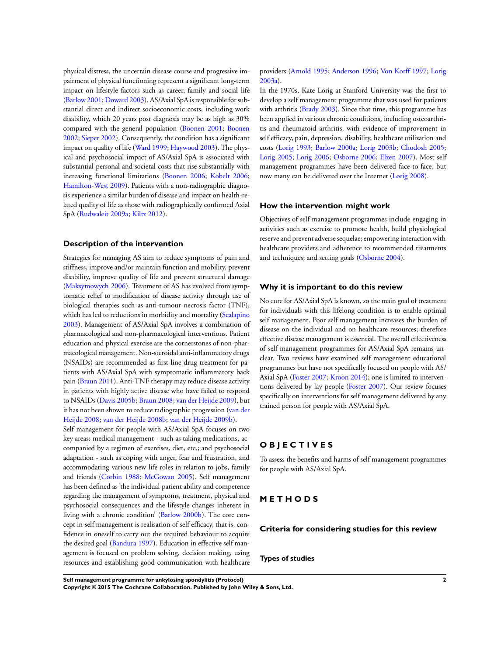physical distress, the uncertain disease course and progressive impairment of physical functioning represent a significant long-term impact on lifestyle factors such as career, family and social life [\(Barlow 2001;](#page-8-0) [Doward 2003](#page-8-0)). AS/Axial SpA is responsible for substantial direct and indirect socioeconomic costs, including work disability, which 20 years post diagnosis may be as high as 30% compared with the general population ([Boonen 2001](#page-8-0); [Boonen](#page-8-0) [2002](#page-8-0); [Sieper 2002\)](#page-8-0). Consequently, the condition has a significant impact on quality of life ([Ward 1999](#page-8-0); [Haywood 2003](#page-8-0)). The physical and psychosocial impact of AS/Axial SpA is associated with substantial personal and societal costs that rise substantially with increasing functional limitations [\(Boonen 2006;](#page-8-0) [Kobelt 2006;](#page-8-0) [Hamilton-West 2009\)](#page-8-0). Patients with a non-radiographic diagnosis experience a similar burden of disease and impact on health-related quality of life as those with radiographically confirmed Axial SpA ([Rudwaleit 2009a;](#page-8-0) [Kiltz 2012](#page-8-0)).

#### **Description of the intervention**

Strategies for managing AS aim to reduce symptoms of pain and stiffness, improve and/or maintain function and mobility, prevent disability, improve quality of life and prevent structural damage [\(Maksymowych 2006\)](#page-8-0). Treatment of AS has evolved from symptomatic relief to modification of disease activity through use of biological therapies such as anti-tumour necrosis factor (TNF), which has led to reductions in morbidity and mortality ([Scalapino](#page-8-0) [2003](#page-8-0)). Management of AS/Axial SpA involves a combination of pharmacological and non-pharmacological interventions. Patient education and physical exercise are the cornerstones of non-pharmacological management. Non-steroidal anti-inflammatory drugs (NSAIDs) are recommended as first-line drug treatment for patients with AS/Axial SpA with symptomatic inflammatory back pain [\(Braun 2011](#page-8-0)). Anti-TNF therapy may reduce disease activity in patients with highly active disease who have failed to respond to NSAIDs ([Davis 2005b;](#page-8-0) [Braun 2008;](#page-8-0) [van der Heijde 2009](#page-8-0)), but it has not been shown to reduce radiographic progression [\(van der](#page-8-0) [Heijde 2008;](#page-8-0) [van der Heijde 2008b](#page-8-0); [van der Heijde 2009b\)](#page-8-0).

Self management for people with AS/Axial SpA focuses on two key areas: medical management - such as taking medications, accompanied by a regimen of exercises, diet, etc.; and psychosocial adaptation - such as coping with anger, fear and frustration, and accommodating various new life roles in relation to jobs, family and friends [\(Corbin 1988;](#page-8-0) [McGowan 2005](#page-8-0)). Self management has been defined as 'the individual patient ability and competence regarding the management of symptoms, treatment, physical and psychosocial consequences and the lifestyle changes inherent in living with a chronic condition' ([Barlow 2000b](#page-8-0)). The core concept in self management is realisation of self efficacy, that is, confidence in oneself to carry out the required behaviour to acquire the desired goal ([Bandura 1997\)](#page-8-0). Education in effective self management is focused on problem solving, decision making, using resources and establishing good communication with healthcare providers ([Arnold 1995;](#page-8-0) [Anderson 1996](#page-8-0); [Von Korff 1997;](#page-8-0) [Lorig](#page-8-0) [2003a\)](#page-8-0).

In the 1970s, Kate Lorig at Stanford University was the first to develop a self management programme that was used for patients with arthritis ([Brady 2003\)](#page-8-0). Since that time, this programme has been applied in various chronic conditions, including osteoarthritis and rheumatoid arthritis, with evidence of improvement in self efficacy, pain, depression, disability, healthcare utilization and costs ([Lorig 1993](#page-8-0); [Barlow 2000a](#page-8-0); [Lorig 2003b](#page-8-0); [Chodosh 2005;](#page-8-0) [Lorig 2005;](#page-8-0) [Lorig 2006](#page-8-0); [Osborne 2006](#page-8-0); [Elzen 2007](#page-8-0)). Most self management programmes have been delivered face-to-face, but now many can be delivered over the Internet [\(Lorig 2008](#page-8-0)).

#### **How the intervention might work**

Objectives of self management programmes include engaging in activities such as exercise to promote health, build physiological reserve and prevent adverse sequelae; empowering interaction with healthcare providers and adherence to recommended treatments and techniques; and setting goals ([Osborne 2004](#page-8-0)).

#### **Why it is important to do this review**

No cure for AS/Axial SpA is known, so the main goal of treatment for individuals with this lifelong condition is to enable optimal self management. Poor self management increases the burden of disease on the individual and on healthcare resources; therefore effective disease management is essential. The overall effectiveness of self management programmes for AS/Axial SpA remains unclear. Two reviews have examined self management educational programmes but have not specifically focused on people with AS/ Axial SpA [\(Foster 2007;](#page-8-0) [Kroon 2014\)](#page-8-0); one is limited to interventions delivered by lay people [\(Foster 2007](#page-8-0)). Our review focuses specifically on interventions for self management delivered by any trained person for people with AS/Axial SpA.

## **O B J E C T I V E S**

To assess the benefits and harms of self management programmes for people with AS/Axial SpA.

## **M E T H O D S**

## **Criteria for considering studies for this review**

## **Types of studies**

**Self management programme for ankylosing spondylitis (Protocol) 2 Copyright © 2015 The Cochrane Collaboration. Published by John Wiley & Sons, Ltd.**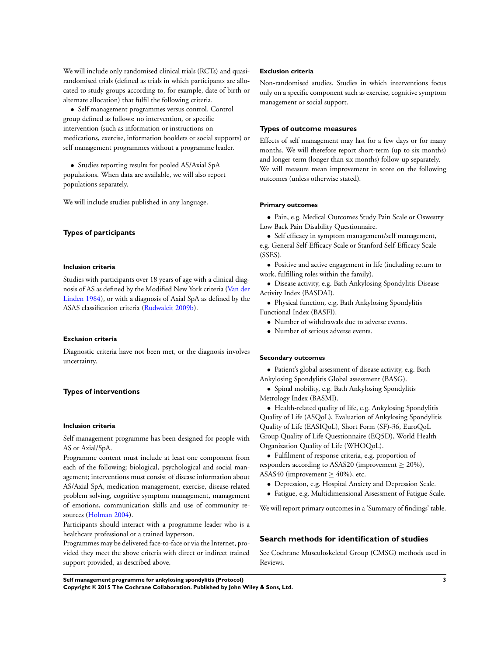We will include only randomised clinical trials (RCTs) and quasirandomised trials (defined as trials in which participants are allocated to study groups according to, for example, date of birth or alternate allocation) that fulfil the following criteria.

• Self management programmes versus control. Control group defined as follows: no intervention, or specific intervention (such as information or instructions on medications, exercise, information booklets or social supports) or self management programmes without a programme leader.

• Studies reporting results for pooled AS/Axial SpA populations. When data are available, we will also report populations separately.

We will include studies published in any language.

#### **Types of participants**

#### **Inclusion criteria**

Studies with participants over 18 years of age with a clinical diagnosis of AS as defined by the Modified New York criteria [\(Van der](#page-8-0) [Linden 1984](#page-8-0)), or with a diagnosis of Axial SpA as defined by the ASAS classification criteria ([Rudwaleit 2009b\)](#page-8-0).

#### **Exclusion criteria**

Diagnostic criteria have not been met, or the diagnosis involves uncertainty.

#### **Types of interventions**

#### **Inclusion criteria**

Self management programme has been designed for people with AS or Axial/SpA.

Programme content must include at least one component from each of the following: biological, psychological and social management; interventions must consist of disease information about AS/Axial SpA, medication management, exercise, disease-related problem solving, cognitive symptom management, management of emotions, communication skills and use of community resources [\(Holman 2004\)](#page-8-0).

Participants should interact with a programme leader who is a healthcare professional or a trained layperson.

Programmes may be delivered face-to-face or via the Internet, provided they meet the above criteria with direct or indirect trained support provided, as described above.

#### **Exclusion criteria**

Non-randomised studies. Studies in which interventions focus only on a specific component such as exercise, cognitive symptom management or social support.

#### **Types of outcome measures**

Effects of self management may last for a few days or for many months. We will therefore report short-term (up to six months) and longer-term (longer than six months) follow-up separately. We will measure mean improvement in score on the following outcomes (unless otherwise stated)*.*

#### **Primary outcomes**

• Pain, e.g. Medical Outcomes Study Pain Scale or Oswestry Low Back Pain Disability Questionnaire.

• Self efficacy in symptom management/self management, e.g. General Self-Efficacy Scale or Stanford Self-Efficacy Scale (SSES).

- Positive and active engagement in life (including return to work, fulfilling roles within the family).
- Disease activity, e.g. Bath Ankylosing Spondylitis Disease Activity Index (BASDAI).
- Physical function, e.g. Bath Ankylosing Spondylitis Functional Index (BASFI).
	- Number of withdrawals due to adverse events.
	- Number of serious adverse events.

#### **Secondary outcomes**

• Patient's global assessment of disease activity, e.g. Bath Ankylosing Spondylitis Global assessment (BASG).

• Spinal mobility, e.g. Bath Ankylosing Spondylitis Metrology Index (BASMI).

• Health-related quality of life, e.g. Ankylosing Spondylitis Quality of Life (ASQoL), Evaluation of Ankylosing Spondylitis Quality of Life (EASIQoL), Short Form (SF)-36, EuroQoL Group Quality of Life Questionnaire (EQ5D), World Health Organization Quality of Life (WHOQoL).

- Fulfilment of response criteria, e.g. proportion of responders according to ASAS20 (improvement  $\geq$  20%), ASAS40 (improvement  $\geq$  40%), etc.
	- Depression, e.g. Hospital Anxiety and Depression Scale.
	- Fatigue, e.g. Multidimensional Assessment of Fatigue Scale.

We will report primary outcomes in a 'Summary of findings' table.

#### **Search methods for identification of studies**

See Cochrane Musculoskeletal Group (CMSG) methods used in Reviews.

**Self management programme for ankylosing spondylitis (Protocol) 3**

**Copyright © 2015 The Cochrane Collaboration. Published by John Wiley & Sons, Ltd.**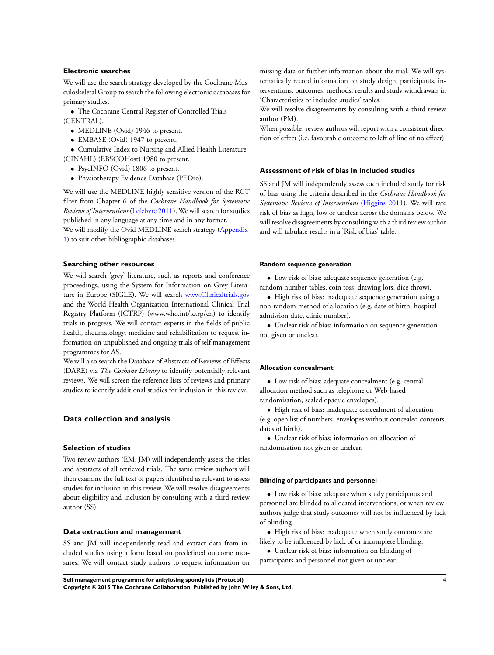#### **Electronic searches**

We will use the search strategy developed by the Cochrane Musculoskeletal Group to search the following electronic databases for primary studies.

• The Cochrane Central Register of Controlled Trials (CENTRAL).

- MEDLINE (Ovid) 1946 to present.
- EMBASE (Ovid) 1947 to present.

• Cumulative Index to Nursing and Allied Health Literature (CINAHL) (EBSCOHost) 1980 to present.

- PsycINFO (Ovid) 1806 to present.
- Physiotherapy Evidence Database (PEDro).

We will use the MEDLINE highly sensitive version of the RCT filter from Chapter 6 of the *Cochrane Handbook for Systematic Reviews of Interventions* [\(Lefebvre 2011\)](#page-8-0). We will search for studies published in any language at any time and in any format.

We will modify the Ovid MEDLINE search strategy [\(Appendix](http://archie.cochrane.org/sections/documents/view?document=269F895182E26AA201B71C12E04E984D%26format=REVMAN#APP-01) [1\)](http://archie.cochrane.org/sections/documents/view?document=269F895182E26AA201B71C12E04E984D%26format=REVMAN#APP-01) to suit other bibliographic databases.

#### **Searching other resources**

We will search 'grey' literature, such as reports and conference proceedings, using the System for Information on Grey Literature in Europe (SIGLE). We will search [www.Clinicaltrials.gov](http://www.Clinicaltrials.gov) and the World Health Organization International Clinical Trial Registry Platform (ICTRP) (www.who.int/ictrp/en) to identify trials in progress. We will contact experts in the fields of public health, rheumatology, medicine and rehabilitation to request information on unpublished and ongoing trials of self management programmes for AS.

We will also search the Database of Abstracts of Reviews of Effects (DARE) via *The Cochane Library* to identify potentially relevant reviews. We will screen the reference lists of reviews and primary studies to identify additional studies for inclusion in this review.

#### **Data collection and analysis**

## **Selection of studies**

Two review authors (EM, JM) will independently assess the titles and abstracts of all retrieved trials. The same review authors will then examine the full text of papers identified as relevant to assess studies for inclusion in this review. We will resolve disagreements about eligibility and inclusion by consulting with a third review author (SS).

#### **Data extraction and management**

SS and JM will independently read and extract data from included studies using a form based on predefined outcome measures. We will contact study authors to request information on

missing data or further information about the trial. We will systematically record information on study design, participants, interventions, outcomes, methods, results and study withdrawals in 'Characteristics of included studies' tables.

We will resolve disagreements by consulting with a third review author (PM).

When possible, review authors will report with a consistent direction of effect (i.e. favourable outcome to left of line of no effect).

#### **Assessment of risk of bias in included studies**

SS and JM will independently assess each included study for risk of bias using the criteria described in the *Cochrane Handbook for Systematic Reviews of Interventions* ([Higgins 2011](#page-8-0)). We will rate risk of bias as high, low or unclear across the domains below. We will resolve disagreements by consulting with a third review author and will tabulate results in a 'Risk of bias' table.

#### **Random sequence generation**

• Low risk of bias: adequate sequence generation (e.g.

random number tables, coin toss, drawing lots, dice throw). • High risk of bias: inadequate sequence generation using a non-random method of allocation (e.g. date of birth, hospital admission date, clinic number).

• Unclear risk of bias: information on sequence generation not given or unclear.

#### **Allocation concealment**

• Low risk of bias: adequate concealment (e.g. central allocation method such as telephone or Web-based randomisation, sealed opaque envelopes).

• High risk of bias: inadequate concealment of allocation

(e.g. open list of numbers, envelopes without concealed contents, dates of birth).

• Unclear risk of bias: information on allocation of randomisation not given or unclear.

#### **Blinding of participants and personnel**

• Low risk of bias: adequate when study participants and personnel are blinded to allocated interventions, or when review authors judge that study outcomes will not be influenced by lack of blinding.

• High risk of bias: inadequate when study outcomes are likely to be influenced by lack of or incomplete blinding.

• Unclear risk of bias: information on blinding of participants and personnel not given or unclear.

**Self management programme for ankylosing spondylitis (Protocol) 4 Copyright © 2015 The Cochrane Collaboration. Published by John Wiley & Sons, Ltd.**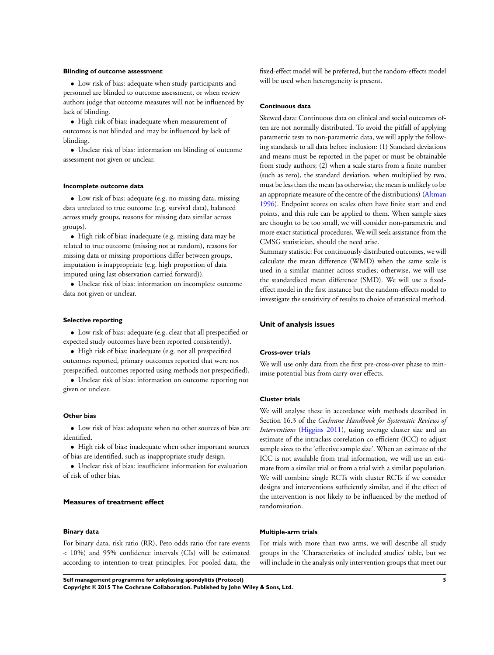#### **Blinding of outcome assessment**

• Low risk of bias: adequate when study participants and personnel are blinded to outcome assessment, or when review authors judge that outcome measures will not be influenced by lack of blinding.

• High risk of bias: inadequate when measurement of outcomes is not blinded and may be influenced by lack of blinding.

• Unclear risk of bias: information on blinding of outcome assessment not given or unclear.

#### **Incomplete outcome data**

• Low risk of bias: adequate (e.g. no missing data, missing data unrelated to true outcome (e.g. survival data), balanced across study groups, reasons for missing data similar across groups).

• High risk of bias: inadequate (e.g. missing data may be related to true outcome (missing not at random), reasons for missing data or missing proportions differ between groups, imputation is inappropriate (e.g. high proportion of data imputed using last observation carried forward)).

• Unclear risk of bias: information on incomplete outcome data not given or unclear.

#### **Selective reporting**

• Low risk of bias: adequate (e.g. clear that all prespecified or expected study outcomes have been reported consistently).

• High risk of bias: inadequate (e.g. not all prespecified outcomes reported, primary outcomes reported that were not prespecified, outcomes reported using methods not prespecified).

• Unclear risk of bias: information on outcome reporting not given or unclear.

#### **Other bias**

• Low risk of bias: adequate when no other sources of bias are identified.

• High risk of bias: inadequate when other important sources of bias are identified, such as inappropriate study design.

• Unclear risk of bias: insufficient information for evaluation of risk of other bias.

## **Measures of treatment effect**

#### **Binary data**

For binary data, risk ratio (RR), Peto odds ratio (for rare events < 10%) and 95% confidence intervals (CIs) will be estimated according to intention-to-treat principles. For pooled data, the fixed-effect model will be preferred, but the random-effects model will be used when heterogeneity is present.

#### **Continuous data**

Skewed data: Continuous data on clinical and social outcomes often are not normally distributed. To avoid the pitfall of applying parametric tests to non-parametric data, we will apply the following standards to all data before inclusion: (1) Standard deviations and means must be reported in the paper or must be obtainable from study authors; (2) when a scale starts from a finite number (such as zero), the standard deviation, when multiplied by two, must be less than the mean (as otherwise, the mean is unlikely to be an appropriate measure of the centre of the distributions) [\(Altman](#page-8-0) [1996](#page-8-0)). Endpoint scores on scales often have finite start and end points, and this rule can be applied to them. When sample sizes are thought to be too small, we will consider non-parametric and more exact statistical procedures. We will seek assistance from the CMSG statistician, should the need arise.

Summary statistic: For continuously distributed outcomes, wewill calculate the mean difference (WMD) when the same scale is used in a similar manner across studies; otherwise, we will use the standardised mean difference (SMD). We will use a fixedeffect model in the first instance but the random-effects model to investigate the sensitivity of results to choice of statistical method.

#### **Unit of analysis issues**

#### **Cross-over trials**

We will use only data from the first pre-cross-over phase to minimise potential bias from carry-over effects.

#### **Cluster trials**

We will analyse these in accordance with methods described in Section 16.3 of the *Cochrane Handbook for Systematic Reviews of Interventions* ([Higgins 2011\)](#page-8-0), using average cluster size and an estimate of the intraclass correlation co-efficient (ICC) to adjust sample sizes to the 'effective sample size'. When an estimate of the ICC is not available from trial information, we will use an estimate from a similar trial or from a trial with a similar population. We will combine single RCTs with cluster RCTs if we consider designs and interventions sufficiently similar, and if the effect of the intervention is not likely to be influenced by the method of randomisation.

#### **Multiple-arm trials**

For trials with more than two arms, we will describe all study groups in the 'Characteristics of included studies' table, but we will include in the analysis only intervention groups that meet our

**Self management programme for ankylosing spondylitis (Protocol) 5 Copyright © 2015 The Cochrane Collaboration. Published by John Wiley & Sons, Ltd.**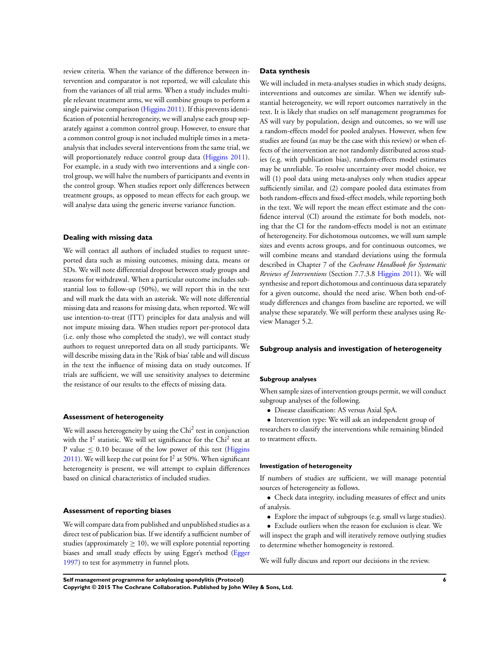review criteria. When the variance of the difference between intervention and comparator is not reported, we will calculate this from the variances of all trial arms. When a study includes multiple relevant treatment arms, we will combine groups to perform a single pairwise comparison ([Higgins 2011](#page-8-0)). If this prevents identification of potential heterogeneity, we will analyse each group separately against a common control group. However, to ensure that a common control group is not included multiple times in a metaanalysis that includes several interventions from the same trial, we will proportionately reduce control group data ([Higgins 2011](#page-8-0)). For example, in a study with two interventions and a single control group, we will halve the numbers of participants and events in the control group. When studies report only differences between treatment groups, as opposed to mean effects for each group, we will analyse data using the generic inverse variance function.

#### **Dealing with missing data**

We will contact all authors of included studies to request unreported data such as missing outcomes, missing data, means or SDs. We will note differential dropout between study groups and reasons for withdrawal. When a particular outcome includes substantial loss to follow-up (50%), we will report this in the text and will mark the data with an asterisk. We will note differential missing data and reasons for missing data, when reported. We will use intention-to-treat (ITT) principles for data analysis and will not impute missing data. When studies report per-protocol data (i.e. only those who completed the study), we will contact study authors to request unreported data on all study participants. We will describe missing data in the 'Risk of bias' table and will discuss in the text the influence of missing data on study outcomes. If trials are sufficient, we will use sensitivity analyses to determine the resistance of our results to the effects of missing data.

#### **Assessment of heterogeneity**

We will assess heterogeneity by using the  $\mathrm{Chi}^2$  test in conjunction with the  $I^2$  statistic. We will set significance for the Chi<sup>2</sup> test at P value  $\leq 0.10$  because of the low power of this test ([Higgins](#page-8-0)  $2011$ ). We will keep the cut point for  $I^2$  at 50%. When significant heterogeneity is present, we will attempt to explain differences based on clinical characteristics of included studies.

#### **Assessment of reporting biases**

We will compare data from published and unpublished studies as a direct test of publication bias. If we identify a sufficient number of studies (approximately  $> 10$ ), we will explore potential reporting biases and small study effects by using Egger's method [\(Egger](#page-8-0) [1997](#page-8-0)) to test for asymmetry in funnel plots.

#### **Data synthesis**

We will included in meta-analyses studies in which study designs, interventions and outcomes are similar. When we identify substantial heterogeneity, we will report outcomes narratively in the text. It is likely that studies on self management programmes for AS will vary by population, design and outcomes, so we will use a random-effects model for pooled analyses. However, when few studies are found (as may be the case with this review) or when effects of the intervention are not randomly distributed across studies (e.g. with publication bias), random-effects model estimates may be unreliable. To resolve uncertainty over model choice, we will (1) pool data using meta-analyses only when studies appear sufficiently similar, and (2) compare pooled data estimates from both random-effects and fixed-effect models, while reporting both in the text. We will report the mean effect estimate and the confidence interval (CI) around the estimate for both models, noting that the CI for the random-effects model is not an estimate of heterogeneity. For dichotomous outcomes, we will sum sample sizes and events across groups, and for continuous outcomes, we will combine means and standard deviations using the formula described in Chapter 7 of the *Cochrane Handbook for Systematic Reviews of Interventions* (Section 7.7.3.8 [Higgins 2011](#page-8-0)). We will synthesise and report dichotomous and continuous data separately for a given outcome, should the need arise. When both end-ofstudy differences and changes from baseline are reported, we will analyse these separately. We will perform these analyses using Review Manager 5.2.

#### **Subgroup analysis and investigation of heterogeneity**

#### **Subgroup analyses**

When sample sizes of intervention groups permit, we will conduct subgroup analyses of the following.

• Disease classification: AS versus Axial SpA.

• Intervention type: We will ask an independent group of researchers to classify the interventions while remaining blinded to treatment effects.

#### **Investigation of heterogeneity**

If numbers of studies are sufficient, we will manage potential sources of heterogeneity as follows.

• Check data integrity, including measures of effect and units of analysis.

• Explore the impact of subgroups (e.g. small vs large studies).

• Exclude outliers when the reason for exclusion is clear. We

will inspect the graph and will iteratively remove outlying studies to determine whether homogeneity is restored.

We will fully discuss and report our decisions in the review.

**Self management programme for ankylosing spondylitis (Protocol) 6 Copyright © 2015 The Cochrane Collaboration. Published by John Wiley & Sons, Ltd.**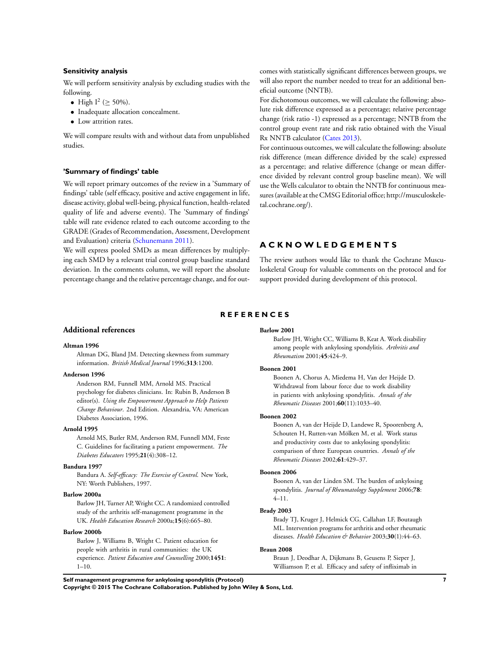#### <span id="page-8-0"></span>**Sensitivity analysis**

We will perform sensitivity analysis by excluding studies with the following.

- High  $I^2$  ( $\geq 50\%$ ).
- Inadequate allocation concealment.
- Low attrition rates.

We will compare results with and without data from unpublished studies.

#### **'Summary of findings' table**

We will report primary outcomes of the review in a 'Summary of findings' table (self efficacy, positive and active engagement in life, disease activity, global well-being, physical function, health-related quality of life and adverse events). The 'Summary of findings' table will rate evidence related to each outcome according to the GRADE (Grades of Recommendation, Assessment, Development and Evaluation) criteria (Schunemann 2011).

We will express pooled SMDs as mean differences by multiplying each SMD by a relevant trial control group baseline standard deviation. In the comments column, we will report the absolute percentage change and the relative percentage change, and for out-

comes with statistically significant differences between groups, we will also report the number needed to treat for an additional beneficial outcome (NNTB).

For dichotomous outcomes, we will calculate the following: absolute risk difference expressed as a percentage; relative percentage change (risk ratio -1) expressed as a percentage; NNTB from the control group event rate and risk ratio obtained with the Visual Rx NNTB calculator (Cates 2013).

For continuous outcomes, we will calculate the following: absolute risk difference (mean difference divided by the scale) expressed as a percentage; and relative difference (change or mean difference divided by relevant control group baseline mean). We will use the Wells calculator to obtain the NNTB for continuous measures (available at the CMSG Editorial office; http://musculoskeletal.cochrane.org/).

## **A C K N O W L E D G E M E N T S**

The review authors would like to thank the Cochrane Musculoskeletal Group for valuable comments on the protocol and for support provided during development of this protocol.

## **R E F E R E N C E S**

#### **Additional references**

#### **Altman 1996**

Altman DG, Bland JM. Detecting skewness from summary information. *British Medical Journal* 1996;**313**:1200.

## **Anderson 1996**

Anderson RM, Funnell MM, Arnold MS. Practical psychology for diabetes clinicians. In: Rubin B, Anderson B editor(s). *Using the Empowerment Approach to Help Patients Change Behaviour*. 2nd Edition. Alexandria, VA: American Diabetes Association, 1996.

#### **Arnold 1995**

Arnold MS, Butler RM, Anderson RM, Funnell MM, Feste C. Guidelines for facilitating a patient empowerment. *The Diabetes Educators* 1995;**21**(4):308–12.

#### **Bandura 1997**

Bandura A. *Self-efficacy: The Exercise of Control*. New York, NY: Worth Publishers, 1997.

#### **Barlow 2000a**

Barlow JH, Turner AP, Wright CC. A randomized controlled study of the arthritis self-management programme in the UK. *Health Education Research* 2000a;**15**(6):665–80.

## **Barlow 2000b**

Barlow J, Williams B, Wright C. Patient education for people with arthritis in rural communities: the UK experience. *Patient Education and Counselling* 2000;**1451**:  $1-10$ .

#### **Barlow 2001**

Barlow JH, Wright CC, Williams B, Keat A. Work disability among people with ankylosing spondylitis. *Arthritis and Rheumatism* 2001;**45**:424–9.

#### **Boonen 2001**

Boonen A, Chorus A, Miedema H, Van der Heijde D. Withdrawal from labour force due to work disability in patients with ankylosing spondylitis. *Annals of the Rheumatic Diseases* 2001;**60**(11):1033–40.

#### **Boonen 2002**

Boonen A, van der Heijde D, Landewe R, Spoorenberg A, Schouten H, Rutten-van Mölken M, et al. Work status and productivity costs due to ankylosing spondylitis: comparison of three European countries. *Annals of the Rheumatic Diseases* 2002;**61**:429–37.

#### **Boonen 2006**

Boonen A, van der Linden SM. The burden of ankylosing spondylitis. *Journal of Rheumatology Supplement* 2006;**78**: 4–11.

#### **Brady 2003**

Brady TJ, Kruger J, Helmick CG, Callahan LF, Boutaugh ML. Intervention programs for arthritis and other rheumatic diseases. *Health Education & Behavior* 2003;**30**(1):44–63.

#### **Braun 2008**

Braun J, Deodhar A, Dijkmans B, Geusens P, Sieper J, Williamson P, et al. Efficacy and safety of infliximab in

**Self management programme for ankylosing spondylitis (Protocol) 7**

**Copyright © 2015 The Cochrane Collaboration. Published by John Wiley & Sons, Ltd.**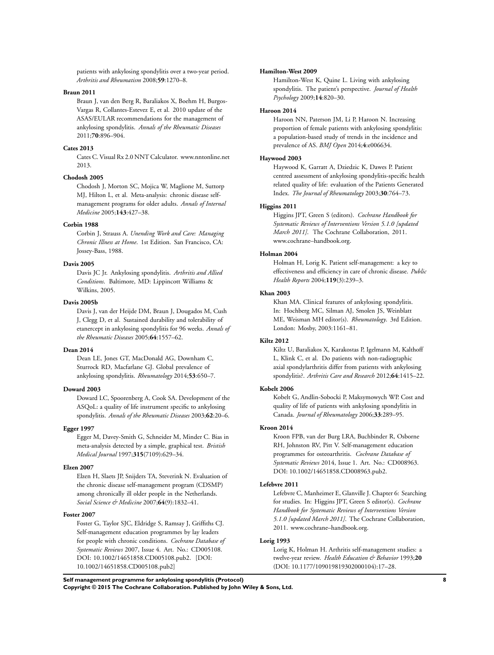patients with ankylosing spondylitis over a two-year period. *Arthritis and Rheumatism* 2008;**59**:1270–8.

#### **Braun 2011**

Braun J, van den Berg R, Baraliakos X, Boehm H, Burgos-Vargas R, Collantes-Estevez E, et al. 2010 update of the ASAS/EULAR recommendations for the management of ankylosing spondylitis. *Annals of the Rheumatic Diseases* 2011;**70**:896–904.

### **Cates 2013**

Cates C. Visual Rx 2.0 NNT Calculator. www.nntonline.net 2013.

#### **Chodosh 2005**

Chodosh J, Morton SC, Mojica W, Maglione M, Suttorp MJ, Hilton L, et al. Meta-analysis: chronic disease selfmanagement programs for older adults. *Annals of Internal Medicine* 2005;**143**:427–38.

#### **Corbin 1988**

Corbin J, Strauss A. *Unending Work and Care: Managing Chronic Illness at Home*. 1st Edition. San Francisco, CA: Jossey-Bass, 1988.

#### **Davis 2005**

Davis JC Jr. Ankylosing spondylitis. *Arthritis and Allied Conditions*. Baltimore, MD: Lippincott Williams & Wilkins, 2005.

#### **Davis 2005b**

Davis J, van der Heijde DM, Braun J, Dougados M, Cush J, Clegg D, et al. Sustained durability and tolerability of etanercept in ankylosing spondylitis for 96 weeks. *Annals of the Rheumatic Diseases* 2005;**64**:1557–62.

#### **Dean 2014**

Dean LE, Jones GT, MacDonald AG, Downham C, Sturrock RD, Macfarlane GJ. Global prevalence of ankylosing spondylitis. *Rheumatology* 2014;**53**:650–7.

#### **Doward 2003**

Doward LC, Spoorenberg A, Cook SA. Development of the ASQoL: a quality of life instrument specific to ankylosing spondylitis. *Annals of the Rheumatic Diseases* 2003;**62**:20–6.

## **Egger 1997**

Egger M, Davey-Smith G, Schneider M, Minder C. Bias in meta-analysis detected by a simple, graphical test. *Bristish Medical Journal* 1997;**315**(7109):629–34.

#### **Elzen 2007**

Elzen H, Slaets JP, Snijders TA, Steverink N. Evaluation of the chronic disease self-management program (CDSMP) among chronically ill older people in the Netherlands. *Social Science & Medicine* 2007;**64**(9):1832–41.

## **Foster 2007**

Foster G, Taylor SJC, Eldridge S, Ramsay J, Griffiths CJ. Self-management education programmes by lay leaders for people with chronic conditions. *Cochrane Database of Systematic Reviews* 2007, Issue 4. Art. No.: CD005108. DOI: 10.1002/14651858.CD005108.pub2. [DOI: 10.1002/14651858.CD005108.pub2]

#### **Hamilton-West 2009**

Hamilton-West K, Quine L. Living with ankylosing spondylitis. The patient's perspective. *Journal of Health Psychology* 2009;**14**:820–30.

#### **Haroon 2014**

Haroon NN, Paterson JM, Li P, Haroon N. Increasing proportion of female patients with ankylosing spondylitis: a population-based study of trends in the incidence and prevalence of AS. *BMJ Open* 2014;**4**:e006634.

#### **Haywood 2003**

Haywood K, Garratt A, Dziedzic K, Dawes P. Patient centred assessment of ankylosing spondylitis-specific health related quality of life: evaluation of the Patients Generated Index. *The Journal of Rheumatology* 2003;**30**:764–73.

#### **Higgins 2011**

Higgins JPT, Green S (editors). *Cochrane Handbook for Systematic Reviews of Interventions Version 5.1.0 [updated March 2011]*. The Cochrane Collaboration, 2011. www.cochrane–handbook.org.

#### **Holman 2004**

Holman H, Lorig K. Patient self-management: a key to effectiveness and efficiency in care of chronic disease. *Public Health Reports* 2004;**119**(3):239–3.

#### **Khan 2003**

Khan MA. Clinical features of ankylosing spondylitis. In: Hochberg MC, Silman AJ, Smolen JS, Weinblatt ME, Weisman MH editor(s). *Rheumatology*. 3rd Edition. London: Mosby, 2003:1161–81.

#### **Kiltz 2012**

Kiltz U, Baraliakos X, Karakostas P, Igelmann M, Kalthoff L, Klink C, et al. Do patients with non-radiographic axial spondylarthritis differ from patients with ankylosing spondylitis?. *Arthritis Care and Research* 2012;**64**:1415–22.

#### **Kobelt 2006**

Kobelt G, Andlin-Sobocki P, Maksymowych WP. Cost and quality of life of patients with ankylosing spondylitis in Canada. *Journal of Rheumatology* 2006;**33**:289–95.

#### **Kroon 2014**

Kroon FPB, van der Burg LRA, Buchbinder R, Osborne RH, Johnston RV, Pitt V. Self-management education programmes for osteoarthritis. *Cochrane Database of Systematic Reviews* 2014, Issue 1. Art. No.: CD008963. DOI: 10.1002/14651858.CD008963.pub2.

#### **Lefebvre 2011**

Lefebvre C, Manheimer E, Glanville J. Chapter 6: Searching for studies. In: Higgins JPT, Green S editor(s). *Cochrane Handbook for Systematic Reviews of Interventions Version 5.1.0 [updated March 2011]*. The Cochrane Collaboration, 2011. www.cochrane–handbook.org.

#### **Lorig 1993**

Lorig K, Holman H. Arthritis self-management studies: a twelve-year review. *Health Education & Behavior* 1993;**20** (DOI: 10.1177/109019819302000104):17–28.

**Self management programme for ankylosing spondylitis (Protocol) 8 Copyright © 2015 The Cochrane Collaboration. Published by John Wiley & Sons, Ltd.**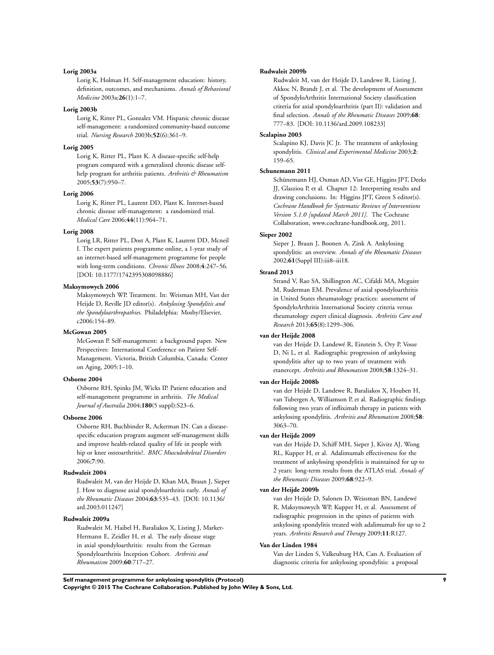#### **Lorig 2003a**

Lorig K, Holman H. Self-management education: history, definition, outcomes, and mechanisms. *Annals of Behavioral Medicine* 2003a;**26**(1):1–7.

#### **Lorig 2003b**

Lorig K, Ritter PL, Gonzalez VM. Hispanic chronic disease self-management: a randomized community-based outcome trial. *Nursing Research* 2003b;**52**(6):361–9.

## **Lorig 2005**

Lorig K, Ritter PL, Plant K. A disease-specific self-help program compared with a generalized chronic disease selfhelp program for arthritis patients. *Arthritis & Rheumatism* 2005;**53**(7):950–7.

#### **Lorig 2006**

Lorig K, Ritter PL, Laurent DD, Plant K. Internet-based chronic disease self-management: a randomized trial. *Medical Care* 2006;**44**(11):964–71.

#### **Lorig 2008**

Lorig LR, Ritter PL, Dost A, Plant K, Laurent DD, Mcneil I. The expert patients programme online, a 1-year study of an internet-based self-management programme for people with long-term conditions. *Chronic Illness* 2008;**4**:247–56. [DOI: 10.1177/1742395308098886]

### **Maksymowych 2006**

Maksymowych WP. Treatment. In: Weisman MH, Van der Heijde D, Reville JD editor(s). *Ankylosing Spondylitis and the Spondyloarthropathies*. Philadelphia: Mosby/Elsevier, c2006:154–89.

#### **McGowan 2005**

McGowan P. Self-management: a background paper. New Perspectives: International Conference on Patient Self-Management. Victoria, British Columbia, Canada: Center on Aging, 2005:1–10.

## **Osborne 2004**

Osborne RH, Spinks JM, Wicks IP. Patient education and self-management programme in arthritis. *The Medical Journal of Australia* 2004;**180**(5 suppl):S23–6.

#### **Osborne 2006**

Osborne RH, Buchbinder R, Ackerman IN. Can a diseasespecific education program augment self-management skills and improve health-related quality of life in people with hip or knee osteoarthritis?. *BMC Musculoskeletal Disorders* 2006;**7**:90.

#### **Rudwaleit 2004**

Rudwaleit M, van der Heijde D, Khan MA, Braun J, Sieper J. How to diagnose axial spondyloarthritis early. *Annals of the Rheumatic Diseases* 2004;**63**:535–43. [DOI: 10.1136/ ard.2003.011247]

#### **Rudwaleit 2009a**

Rudwaleit M, Haibel H, Baraliakos X, Listing J, Marker-Hermann E, Zeidler H, et al. The early disease stage in axial spondyloarthritis: results from the German Spondyloarthritis Inception Cohort. *Arthritis and Rheumatism* 2009;**60**:717–27.

#### **Rudwaleit 2009b**

Rudwaleit M, van der Heijde D, Landewe R, Listing J, Akkoc N, Brandt J, et al. The development of Assessment of SpondyloArthritis International Society classification criteria for axial spondyloarthritis (part II): validation and final selection. *Annals of the Rheumatic Diseases* 2009;**68**: 777–83. [DOI: 10.1136/ard.2009.108233]

#### **Scalapino 2003**

Scalapino KJ, Davis JC Jr. The treatment of ankylosing spondylitis. *Clinical and Experimental Medicine* 2003;**2**: 159–65.

#### **Schunemann 2011**

Schünemann HJ, Oxman AD, Vist GE, Higgins JPT, Deeks JJ, Glasziou P, et al. Chapter 12: Interpreting results and drawing conclusions. In: Higgins JPT, Green S editor(s). *Cochrane Handbook for Systematic Reviews of Interventions Version 5.1.0 [updated March 2011]*. The Cochrane Collaboration, www.cochrane-handbook.org, 2011.

## **Sieper 2002**

Sieper J, Braun J, Boonen A, Zink A. Ankylosing spondylitis: an overview. *Annals of the Rheumatic Diseases* 2002;**61**(Suppl III):iii8–iii18.

## **Strand 2013**

Strand V, Rao SA, Shillington AC, Cifaldi MA, Mcguire M, Ruderman EM. Prevalence of axial spondyloarthritis in United States rheumatology practices: assessment of SpondyloArthritis International Society criteria versus rheumatology expert clinical diagnosis. *Arthritis Care and Research* 2013;**65**(8):1299–306.

#### **van der Heijde 2008**

van der Heijde D, Landewé R, Einstein S, Ory P, Vosse D, Ni L, et al. Radiographic progression of ankylosing spondylitis after up to two years of treatment with etanercept. *Arthritis and Rheumatism* 2008;**58**:1324–31.

#### **van der Heijde 2008b**

van der Heijde D, Landewe R, Baraliakos X, Houben H, van Tubergen A, Williamson P, et al. Radiographic findings following two years of infliximab therapy in patients with ankylosing spondylitis. *Arthritis and Rheumatism* 2008;**58**: 3063–70.

#### **van der Heijde 2009**

van der Heijde D, Schiff MH, Sieper J, Kivitz AJ, Wong RL, Kupper H, et al. Adalimumab effectiveness for the treatment of ankylosing spondylitis is maintained for up to 2 years: long-term results from the ATLAS trial. *Annals of the Rheumatic Diseases* 2009;**68**:922–9.

#### **van der Heijde 2009b**

van der Heijde D, Salonen D, Weissman BN, Landewé R, Maksymowych WP, Kupper H, et al. Assessment of radiographic progression in the spines of patients with ankylosing spondylitis treated with adalimumab for up to 2 years. *Arthritis Research and Therapy* 2009;**11**:R127.

#### **Van der Linden 1984**

Van der Linden S, Valkeuburg HA, Cats A. Evaluation of diagnostic criteria for ankylosing spondylitis: a proposal

**Self management programme for ankylosing spondylitis (Protocol) 9 Copyright © 2015 The Cochrane Collaboration. Published by John Wiley & Sons, Ltd.**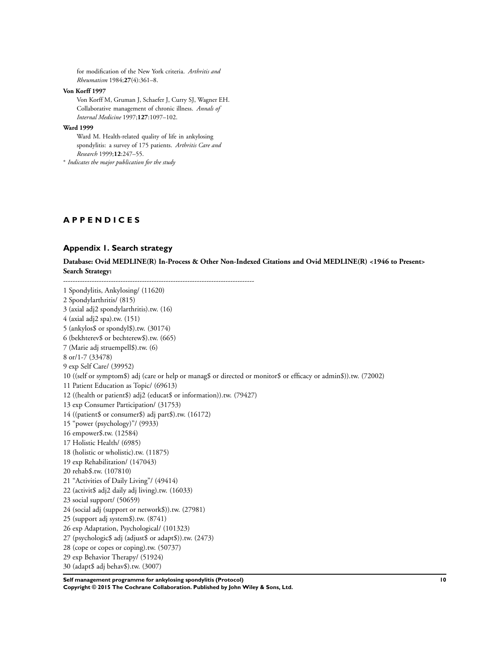for modification of the New York criteria. *Arthritis and Rheumatism* 1984;**27**(4):361–8.

## **Von Korff 1997**

Von Korff M, Gruman J, Schaefer J, Curry SJ, Wagner EH. Collaborative management of chronic illness. *Annals of Internal Medicine* 1997;**127**:1097–102.

## **Ward 1999**

Ward M. Health-related quality of life in ankylosing spondylitis: a survey of 175 patients. *Arthritis Care and Research* 1999;**12**:247–55.

∗ *Indicates the major publication for the study*

## **A P P E N D I C E S**

## **Appendix 1. Search strategy**

**Database: Ovid MEDLINE(R) In-Process & Other Non-Indexed Citations and Ovid MEDLINE(R) <1946 to Present> Search Strategy:**

| 1 Spondylitis, Ankylosing/ (11620)                                                                                 |
|--------------------------------------------------------------------------------------------------------------------|
| 2 Spondylarthritis/ (815)                                                                                          |
| 3 (axial adj2 spondylarthritis).tw. (16)                                                                           |
| 4 (axial adj2 spa).tw. (151)                                                                                       |
| 5 (ankylos\$ or spondyl\$).tw. (30174)                                                                             |
| 6 (bekhterev\$ or bechterew\$).tw. (665)                                                                           |
| 7 (Marie adj struempell\$).tw. (6)                                                                                 |
| 8 or/1-7 (33478)                                                                                                   |
| 9 exp Self Care/ (39952)                                                                                           |
| 10 ((self or symptom\$) adj (care or help or manag\$ or directed or monitor\$ or efficacy or admin\$)).tw. (72002) |
| 11 Patient Education as Topic/ (69613)                                                                             |
| 12 ((health or patient\$) adj2 (educat\$ or information)).tw. (79427)                                              |
| 13 exp Consumer Participation/ (31753)                                                                             |
| 14 ((patient\$ or consumer\$) adj part\$).tw. (16172)                                                              |
| 15 "power (psychology)"/ (9933)                                                                                    |
| 16 empower\$.tw. (12584)                                                                                           |
| 17 Holistic Health/ (6985)                                                                                         |
| 18 (holistic or wholistic).tw. (11875)                                                                             |
| 19 exp Rehabilitation/ (147043)                                                                                    |
| 20 rehab\$.tw. (107810)                                                                                            |
| 21 "Activities of Daily Living"/ (49414)                                                                           |
| 22 (activit\$ adj2 daily adj living).tw. (16033)                                                                   |
| 23 social support/ (50659)                                                                                         |
| 24 (social adj (support or network\$)).tw. (27981)                                                                 |
| 25 (support adj system\$).tw. (8741)                                                                               |
| 26 exp Adaptation, Psychological/ (101323)                                                                         |
| 27 (psychologic\$ adj (adjust\$ or adapt\$)).tw. (2473)                                                            |
| 28 (cope or copes or coping).tw. (50737)                                                                           |
| 29 exp Behavior Therapy/ (51924)                                                                                   |
| 30 (adapt\$ adj behav\$).tw. (3007)                                                                                |

**Self management programme for ankylosing spondylitis (Protocol) 10 Copyright © 2015 The Cochrane Collaboration. Published by John Wiley & Sons, Ltd.**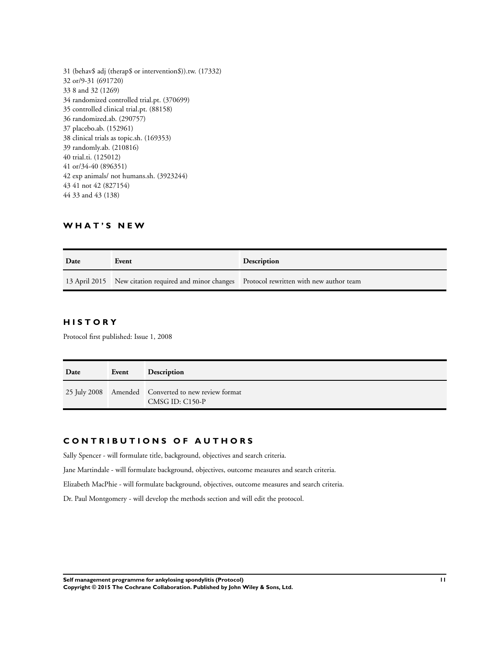31 (behav\$ adj (therap\$ or intervention\$)).tw. (17332) 32 or/9-31 (691720) 33 8 and 32 (1269) 34 randomized controlled trial.pt. (370699) 35 controlled clinical trial.pt. (88158) 36 randomized.ab. (290757) 37 placebo.ab. (152961) 38 clinical trials as topic.sh. (169353) 39 randomly.ab. (210816) 40 trial.ti. (125012) 41 or/34-40 (896351) 42 exp animals/ not humans.sh. (3923244) 43 41 not 42 (827154) 44 33 and 43 (138)

## **W H A T ' S N E W**

| Date | Event                                                                                         | <b>Description</b> |
|------|-----------------------------------------------------------------------------------------------|--------------------|
|      | 13 April 2015 New citation required and minor changes Protocol rewritten with new author team |                    |

## **H I S T O R Y**

Protocol first published: Issue 1, 2008

| Date | Event | Description                                                            |
|------|-------|------------------------------------------------------------------------|
|      |       | 25 July 2008 Amended Converted to new review format<br>CMSG ID: C150-P |

## **C O N T R I B U T I O N S O F A U T H O R S**

Sally Spencer - will formulate title, background, objectives and search criteria.

Jane Martindale - will formulate background, objectives, outcome measures and search criteria.

Elizabeth MacPhie - will formulate background, objectives, outcome measures and search criteria.

Dr. Paul Montgomery - will develop the methods section and will edit the protocol.